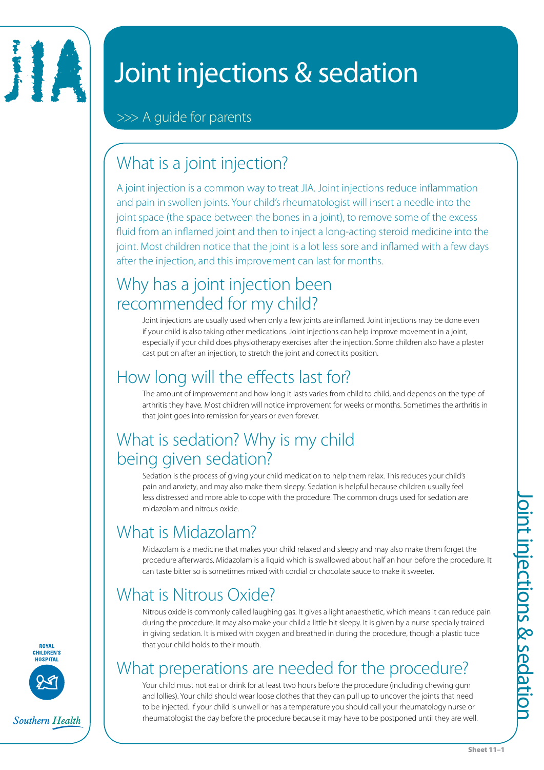

# Joint injections & sedation

>>> A guide for parents

## What is a joint injection?

A joint injection is a common way to treat JIA. Joint injections reduce inflammation and pain in swollen joints. Your child's rheumatologist will insert a needle into the joint space (the space between the bones in a joint), to remove some of the excess fluid from an inflamed joint and then to inject a long-acting steroid medicine into the joint. Most children notice that the joint is a lot less sore and inflamed with a few days after the injection, and this improvement can last for months.

#### Why has a joint injection been recommended for my child?

Joint injections are usually used when only a few joints are inflamed. Joint injections may be done even if your child is also taking other medications. Joint injections can help improve movement in a joint, especially if your child does physiotherapy exercises after the injection. Some children also have a plaster cast put on after an injection, to stretch the joint and correct its position.

## How long will the effects last for?

The amount of improvement and how long it lasts varies from child to child, and depends on the type of arthritis they have. Most children will notice improvement for weeks or months. Sometimes the arthritis in that joint goes into remission for years or even forever.

### What is sedation? Why is my child being given sedation?

Sedation is the process of giving your child medication to help them relax. This reduces your child's pain and anxiety, and may also make them sleepy. Sedation is helpful because children usually feel less distressed and more able to cope with the procedure. The common drugs used for sedation are midazolam and nitrous oxide.

## What is Midazolam?

Midazolam is a medicine that makes your child relaxed and sleepy and may also make them forget the procedure afterwards. Midazolam is a liquid which is swallowed about half an hour before the procedure. It can taste bitter so is sometimes mixed with cordial or chocolate sauce to make it sweeter.

## What is Nitrous Oxide?

Nitrous oxide is commonly called laughing gas. It gives a light anaesthetic, which means it can reduce pain during the procedure. It may also make your child a little bit sleepy. It is given by a nurse specially trained in giving sedation. It is mixed with oxygen and breathed in during the procedure, though a plastic tube that your child holds to their mouth.

## What preperations are needed for the procedure?

Your child must not eat or drink for at least two hours before the procedure (including chewing gum and lollies). Your child should wear loose clothes that they can pull up to uncover the joints that need to be injected. If your child is unwell or has a temperature you should call your rheumatology nurse or rheumatologist the day before the procedure because it may have to be postponed until they are well.

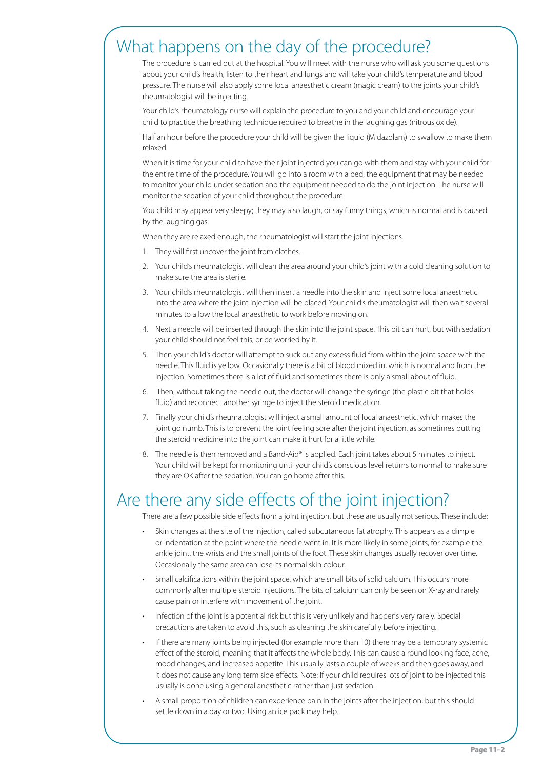#### What happens on the day of the procedure?

The procedure is carried out at the hospital. You will meet with the nurse who will ask you some questions about your child's health, listen to their heart and lungs and will take your child's temperature and blood pressure. The nurse will also apply some local anaesthetic cream (magic cream) to the joints your child's rheumatologist will be injecting.

Your child's rheumatology nurse will explain the procedure to you and your child and encourage your child to practice the breathing technique required to breathe in the laughing gas (nitrous oxide).

Half an hour before the procedure your child will be given the liquid (Midazolam) to swallow to make them relaxed.

When it is time for your child to have their joint injected you can go with them and stay with your child for the entire time of the procedure. You will go into a room with a bed, the equipment that may be needed to monitor your child under sedation and the equipment needed to do the joint injection. The nurse will monitor the sedation of your child throughout the procedure.

You child may appear very sleepy; they may also laugh, or say funny things, which is normal and is caused by the laughing gas.

When they are relaxed enough, the rheumatologist will start the joint injections.

- 1. They will first uncover the joint from clothes.
- 2. Your child's rheumatologist will clean the area around your child's joint with a cold cleaning solution to make sure the area is sterile.
- 3. Your child's rheumatologist will then insert a needle into the skin and inject some local anaesthetic into the area where the joint injection will be placed. Your child's rheumatologist will then wait several minutes to allow the local anaesthetic to work before moving on.
- 4. Next a needle will be inserted through the skin into the joint space. This bit can hurt, but with sedation your child should not feel this, or be worried by it.
- 5. Then your child's doctor will attempt to suck out any excess fluid from within the joint space with the needle. This fluid is yellow. Occasionally there is a bit of blood mixed in, which is normal and from the injection. Sometimes there is a lot of fluid and sometimes there is only a small about of fluid.
- 6. Then, without taking the needle out, the doctor will change the syringe (the plastic bit that holds fluid) and reconnect another syringe to inject the steroid medication.
- 7. Finally your child's rheumatologist will inject a small amount of local anaesthetic, which makes the joint go numb. This is to prevent the joint feeling sore after the joint injection, as sometimes putting the steroid medicine into the joint can make it hurt for a little while.
- 8. The needle is then removed and a Band-Aid® is applied. Each joint takes about 5 minutes to inject. Your child will be kept for monitoring until your child's conscious level returns to normal to make sure they are OK after the sedation. You can go home after this.

#### Are there any side effects of the joint injection?

There are a few possible side effects from a joint injection, but these are usually not serious. These include:

- Skin changes at the site of the injection, called subcutaneous fat atrophy. This appears as a dimple or indentation at the point where the needle went in. It is more likely in some joints, for example the ankle joint, the wrists and the small joints of the foot. These skin changes usually recover over time. Occasionally the same area can lose its normal skin colour.
- Small calcifications within the joint space, which are small bits of solid calcium. This occurs more commonly after multiple steroid injections. The bits of calcium can only be seen on X-ray and rarely cause pain or interfere with movement of the joint.
- Infection of the joint is a potential risk but this is very unlikely and happens very rarely. Special precautions are taken to avoid this, such as cleaning the skin carefully before injecting.
- If there are many joints being injected (for example more than 10) there may be a temporary systemic effect of the steroid, meaning that it affects the whole body. This can cause a round looking face, acne, mood changes, and increased appetite. This usually lasts a couple of weeks and then goes away, and it does not cause any long term side effects. Note: If your child requires lots of joint to be injected this usually is done using a general anesthetic rather than just sedation.
- A small proportion of children can experience pain in the joints after the injection, but this should settle down in a day or two. Using an ice pack may help.